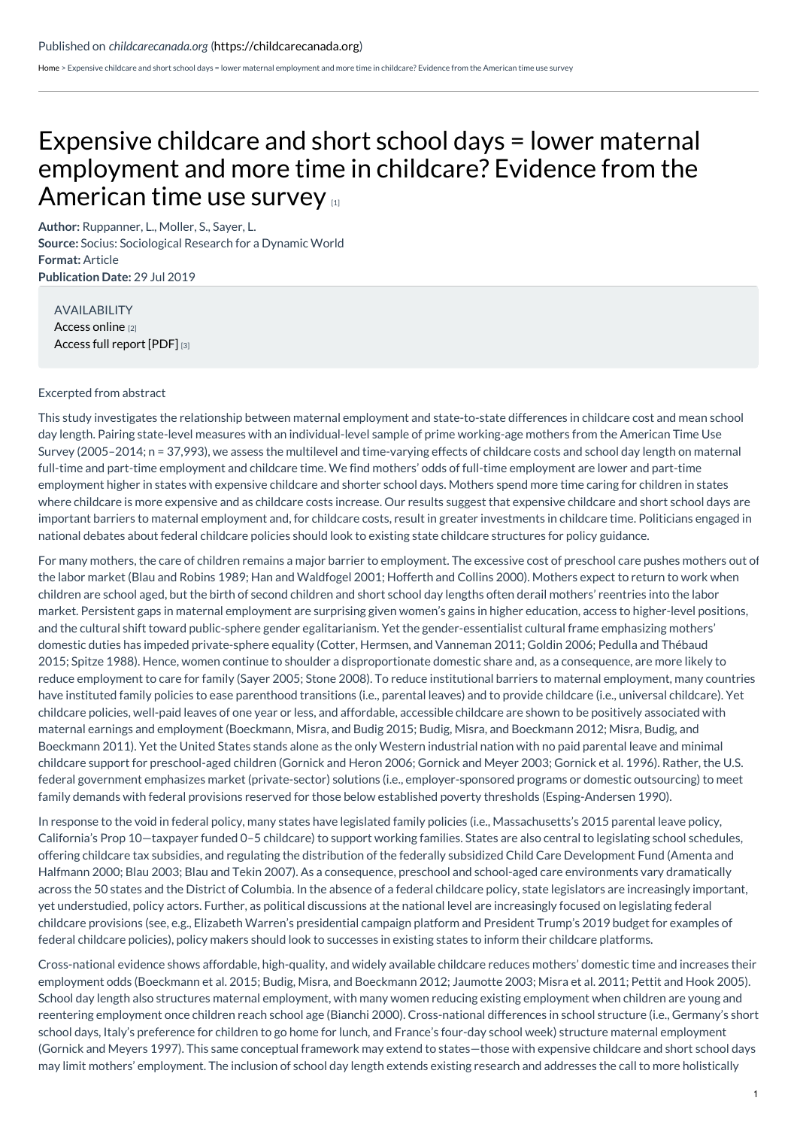[Home](https://childcarecanada.org/) > Expensive childcare and short school days = lower maternal employment and more time in childcare? Evidence from the American time use survey

## Expensive childcare and short school days = lower maternal [employment](https://childcarecanada.org/documents/research-policy-practice/22/04/expensive-childcare-and-short-school-days-lower-maternal) and more time in childcare? Evidence from the American time use survey

**Author:** Ruppanner, L., Moller, S., Sayer, L. **Source:** Socius: Sociological Research for a Dynamic World **Format:** Article **Publication Date:** 29 Jul 2019

AVAILABILITY [Access](https://journals.sagepub.com/doi/10.1177/2378023119860277) online [2] [Access](https://journals.sagepub.com/doi/pdf/10.1177/2378023119860277) full report [PDF] [3]

## Excerpted from abstract

This study investigates the relationship between maternal employment and state-to-state differences in childcare cost and mean school day length. Pairing state-level measures with an individual-level sample of prime working-age mothers from the American Time Use Survey (2005–2014; n = 37,993), we assess the multilevel and time-varying effects of childcare costs and school day length on maternal full-time and part-time employment and childcare time. We find mothers' odds of full-time employment are lower and part-time employment higher in states with expensive childcare and shorter school days. Mothers spend more time caring for children in states where childcare is more expensive and as childcare costs increase. Our results suggest that expensive childcare and short school days are important barriers to maternal employment and, for childcare costs, result in greater investments in childcare time. Politicians engaged in national debates about federal childcare policies should look to existing state childcare structures for policy guidance.

For many mothers, the care of children remains a major barrier to employment. The excessive cost of preschool care pushes mothers out of the labor market (Blau and Robins 1989; Han and Waldfogel 2001; Hofferth and Collins 2000). Mothers expect to return to work when children are school aged, but the birth of second children and short school day lengths often derail mothers' reentries into the labor market. Persistent gaps in maternal employment are surprising given women's gains in higher education, access to higher-level positions, and the cultural shift toward public-sphere gender egalitarianism. Yet the gender-essentialist cultural frame emphasizing mothers' domestic duties has impeded private-sphere equality (Cotter, Hermsen, and Vanneman 2011; Goldin 2006; Pedulla and Thébaud 2015; Spitze 1988). Hence, women continue to shoulder a disproportionate domestic share and, as a consequence, are more likely to reduce employment to care for family (Sayer 2005; Stone 2008). To reduce institutional barriers to maternal employment, many countries have instituted family policies to ease parenthood transitions (i.e., parental leaves) and to provide childcare (i.e., universal childcare). Yet childcare policies, well-paid leaves of one year or less, and affordable, accessible childcare are shown to be positively associated with maternal earnings and employment (Boeckmann, Misra, and Budig 2015; Budig, Misra, and Boeckmann 2012; Misra, Budig, and Boeckmann 2011). Yet the United States stands alone as the only Western industrial nation with no paid parental leave and minimal childcare support for preschool-aged children (Gornick and Heron 2006; Gornick and Meyer 2003; Gornick et al. 1996). Rather, the U.S. federal government emphasizes market (private-sector) solutions (i.e., employer-sponsored programs or domestic outsourcing) to meet family demands with federal provisions reserved for those below established poverty thresholds (Esping-Andersen 1990).

In response to the void in federal policy, many states have legislated family policies (i.e., Massachusetts's 2015 parental leave policy, California's Prop 10—taxpayer funded 0–5 childcare) to support working families. States are also central to legislating school schedules, offering childcare tax subsidies, and regulating the distribution of the federally subsidized Child Care Development Fund (Amenta and Halfmann 2000; Blau 2003; Blau and Tekin 2007). As a consequence, preschool and school-aged care environments vary dramatically across the 50 states and the District of Columbia. In the absence of a federal childcare policy, state legislators are increasingly important, yet understudied, policy actors. Further, as political discussions at the national level are increasingly focused on legislating federal childcare provisions (see, e.g., Elizabeth Warren's presidential campaign platform and President Trump's 2019 budget for examples of federal childcare policies), policy makers should look to successes in existing states to inform their childcare platforms.

Cross-national evidence shows affordable, high-quality, and widely available childcare reduces mothers' domestic time and increases their employment odds (Boeckmann et al. 2015; Budig, Misra, and Boeckmann 2012; Jaumotte 2003; Misra et al. 2011; Pettit and Hook 2005). School day length also structures maternal employment, with many women reducing existing employment when children are young and reentering employment once children reach school age (Bianchi 2000). Cross-national differences in school structure (i.e., Germany's short school days, Italy's preference for children to go home for lunch, and France's four-day school week) structure maternal employment (Gornick and Meyers 1997). This same conceptual framework may extend to states—those with expensive childcare and short school days may limit mothers' employment. The inclusion of school day length extends existing research and addresses the call to more holistically